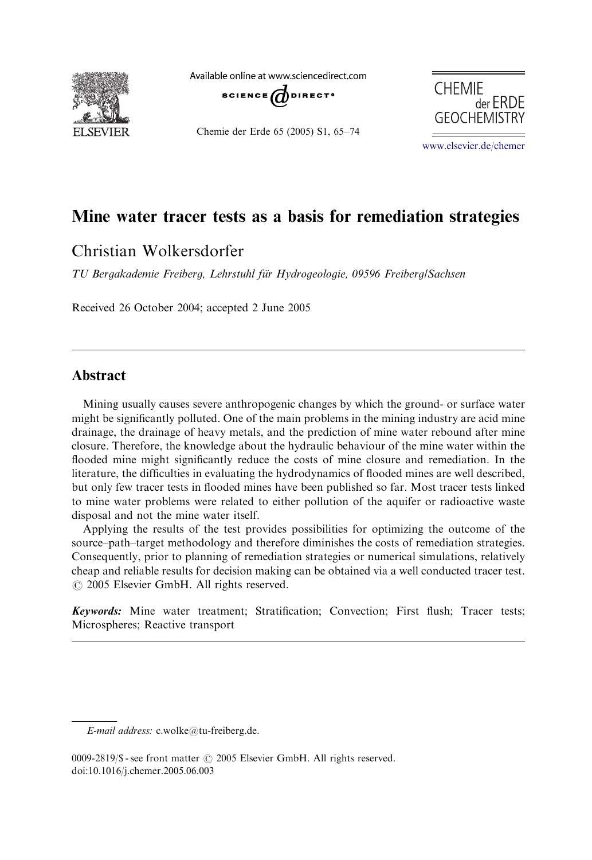

Available online at www.sciencedirect.com SCIENCE  $d$  DIRECT.

Chemie der Erde 65 (2005) S1, 65–74



www.elsevier.de/chemer

# Mine water tracer tests as a basis for remediation strategies

# Christian Wolkersdorfer

TU Bergakademie Freiberg, Lehrstuhl für Hydrogeologie, 09596 Freiberg/Sachsen

Received 26 October 2004; accepted 2 June 2005

# Abstract

Mining usually causes severe anthropogenic changes by which the ground- or surface water might be significantly polluted. One of the main problems in the mining industry are acid mine drainage, the drainage of heavy metals, and the prediction of mine water rebound after mine closure. Therefore, the knowledge about the hydraulic behaviour of the mine water within the flooded mine might significantly reduce the costs of mine closure and remediation. In the literature, the difficulties in evaluating the hydrodynamics of flooded mines are well described, but only few tracer tests in flooded mines have been published so far. Most tracer tests linked to mine water problems were related to either pollution of the aquifer or radioactive waste disposal and not the mine water itself.

Applying the results of the test provides possibilities for optimizing the outcome of the source–path–target methodology and therefore diminishes the costs of remediation strategies. Consequently, prior to planning of remediation strategies or numerical simulations, relatively cheap and reliable results for decision making can be obtained via a well conducted tracer test.  $O$  2005 Elsevier GmbH. All rights reserved.

Keywords: Mine water treatment; Stratification; Convection; First flush; Tracer tests; Microspheres; Reactive transport

E-mail address: c.wolke@tu-freiberg.de.

<sup>0009-2819/\$ -</sup> see front matter  $\odot$  2005 Elsevier GmbH. All rights reserved. doi:10.1016/j.chemer.2005.06.003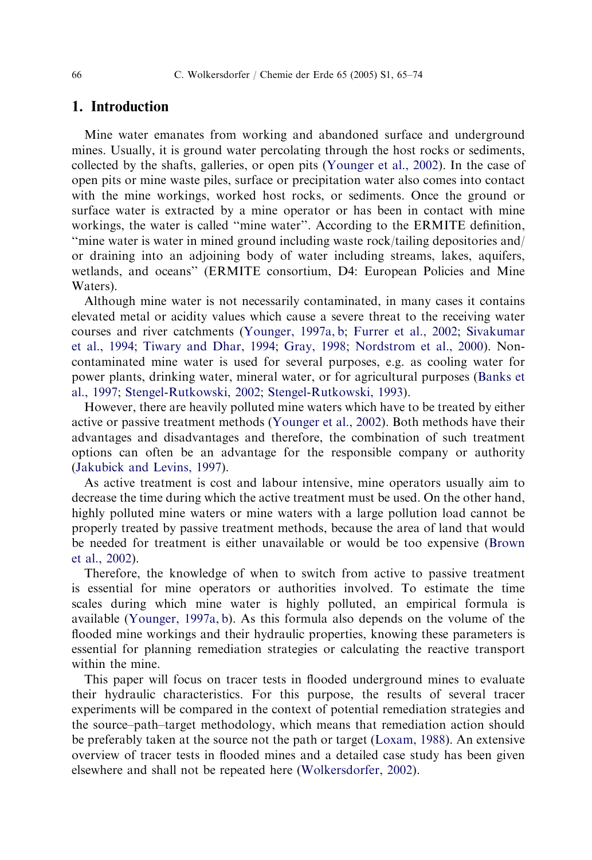66 C. Wolkersdorfer / Chemie der Erde 65 (2005) S1, 65–74

#### 1. Introduction

Mine water emanates from [working](#page-9-0) [and](#page-9-0) [aban](#page-9-0)d[oned](#page-8-0) [surface](#page-8-0) [and](#page-8-0) [u](#page-8-0)[nderground](#page-9-0) [mines.](#page-9-0) [Usua](#page-9-0)l[ly,](#page-9-0) [it](#page-9-0) [is](#page-9-0) [ground](#page-9-0) [water](#page-9-0) [per](#page-9-0)c[olating](#page-8-0) [thro](#page-8-0)u[gh](#page-9-0) [the](#page-9-0) [host](#page-9-0) [rocks](#page-9-0) [or](#page-9-0) [sed](#page-9-0)iments, collected by the shafts, galleries, or open pits (Younger et al., 2002). In the case of open pits or mine waste piles, surface or precipitation water also comes int[o](#page-8-0) [contact](#page-8-0) [with](#page-8-0) [the](#page-8-0) [mine](#page-9-0) [workings,](#page-9-0) [worked](#page-9-0) [host](#page-9-0) [rocks,](#page-9-0) [or](#page-9-0) [sediments.](#page-9-0) Once the ground or surface water is extracted by a mine operator or has been in contact with mine workings, the water is called ''mine [water''.](#page-9-0) [According](#page-9-0) [to](#page-9-0) the ERMITE definition, ''mine water is water in mined ground including waste rock/tailing depositories and/ or draining into an adjoining body of water including streams, lakes, aquifers, [wetlands,](#page-8-0) [and](#page-8-0) [oceans''](#page-8-0) [\(ER](#page-8-0)MITE consortium, D4: European Policies and Mine Waters).

Although mine water is not necessarily contaminated, in many cases it contains elevated metal or acidity values which cause a severe threat to the receiving water courses and river catchments (Younger, 1997a, b; Furrer et al., 2002; Sivakumar et al., 1994; Tiwary and Dhar, 1994; Gray, 1998; Nordstrom et al., 2000)[.](#page-8-0) [Non](#page-8-0)[contaminat](#page-8-0)ed mine water is used for several purposes, e.g. as cooling water for power plants, drinking water, mineral water, or for agricultural purposes (Banks et al., 1997; Stengel-Rutkowski, 2002; Stengel-Rutkowski, 1993).

However, there are heavily polluted mine waters which have to be treated by either active or p[assive](#page-9-0) [treatment](#page-9-0) [m](#page-9-0)ethods (Younger et al., 2002). Both methods have their advantages and disadvantages and therefore, the combination of such treatment options can often be an advantage for the responsible company or authority (Jakubick and Levins, 1997).

As active treatment is cost and labour intensive, mine operators usually aim to decrease the time during which the active treatment must be used. On the other hand, highly polluted mine waters or mine waters with a large pollution load cannot be properly treated by passive treatment methods, because the area of land that would be needed for treatment is either unavailable or woul[d](#page-9-0) [be](#page-9-0) [too](#page-9-0) [exp](#page-9-0)ensive (Brown et al., 2002).

Therefore, the knowledge of when to [switch](#page-9-0) [from](#page-9-0) [active](#page-9-0) [t](#page-9-0)o passive treatment is essential for mine operators or authorities involved. To estimate the time scales during which mine water is highly polluted, an empirical formula is available (Younger, 1997a, b). As this formula also depends on the volume of the flooded mine workings and their hydraulic properties, knowing these parameters is essential for planning remediation strategies or calculating the reactive transport within the mine.

This paper will focus on tracer tests in flooded underground mines to evaluate their hydraulic characteristics. For this purpose, the results of several tracer experiments will be compared in the context of potential remediation strategies and the source–path–target methodology, which means that remediation action should be preferably taken at the source not the path or target (Loxam, 1988). An extensive overview of tracer tests in flooded mines and a detailed case study has been given elsewhere and shall not be repeated here (Wolkersdorfer, 2002).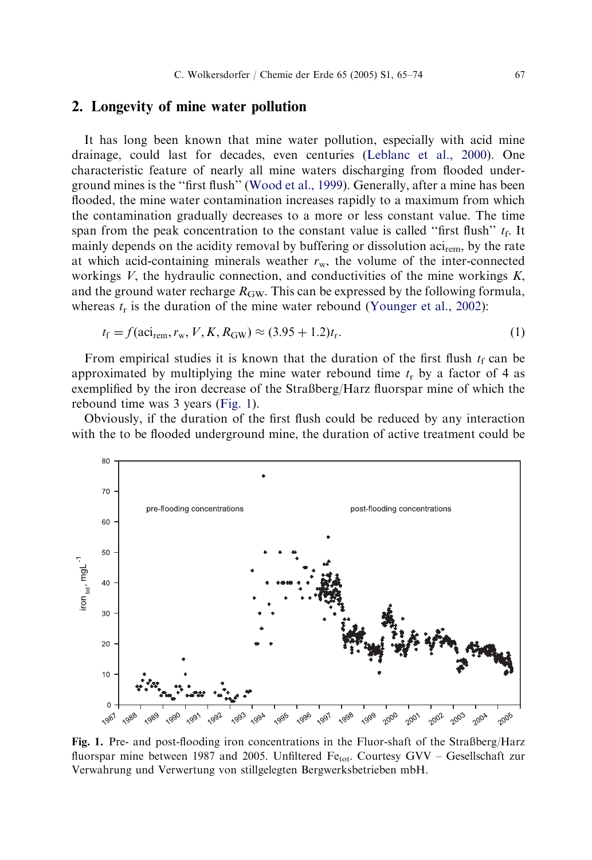C. Wolkersdorfer / Chemie der Erde 65 (2005) S1, 65–74 67

## 2. Longevity of mine water pollution

It has long been known that mine water pollution, especially with acid mine drainage, could last for decades, even centuries (Leblanc et al., 2000). One characteristic feature of nearly all mine waters discharging from flooded underground mines is the ''first flush'' (Wood et al., 1999). Generally, after a mine has been flooded, the mine water contamination increases rapidly to a maximum from which the contamination gradually decreases to a more or less constant value. The time span from the peak concentration to the constant value is called "first flush"  $t_f$ . It mainly depends on the acidity removal by buffering or dissolution  $\arrows$ <sub>cem</sub>, by the rate at which acid-containing minerals weather  $r_w$ , the volume of the inter-connected workings  $V$ , the hydraulic connection, and conductivities of the mine workings  $K$ , and the ground water recharge  $R_{\text{GW}}$ . This can be expressed by the following formula, whereas  $t_r$  is the duration of the mine water rebound (Younger et al., 2002):

$$
t_{\rm f} = f(\text{aci}_{\rm rem}, r_{\rm w}, V, K, R_{\rm GW}) \approx (3.95 + 1.2)t_{\rm r}.
$$
 (1)

From empirical studies it is known that the duration of the first flush  $t_f$  can be approximated by multiplying the mine water rebound time  $t_r$  by a factor of 4 as exemplified by the iron decrease of the Straßberg/Harz fluorspar mine of which the rebound time was 3 years (Fig. 1).

Obviously, if the duration of the first flush could be reduced by any interaction with the to be flooded underground mine, the duration of active treatment could be



Fig. 1. Pre- and post-flooding iron concentrations in the Fluor-shaft of the Straßberg/Harz fluorspar mine between 1987 and 2005. Unfiltered Fe<sub>tot</sub>. Courtesy GVV – Gesellschaft zur Verwahrung und Verwertung von stillgelegten Bergwerksbetrieben mbH.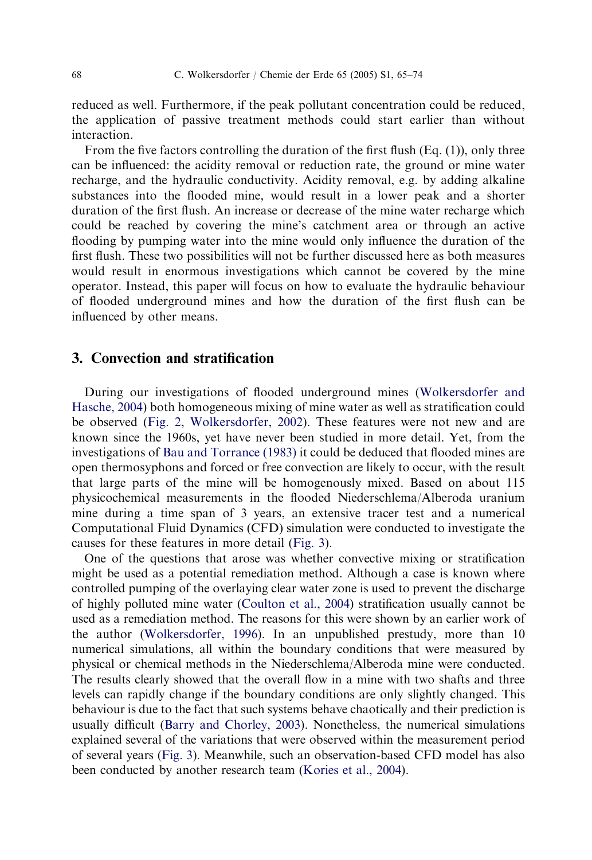68 C. Wolkersdorfer / Chemie der Erde 65 (2005) S1, 65–74

reduced as well. Furthermore, if the peak pollutant concentration could be reduced, the application of passive treatment methods could start earlier than without interaction.

From the five factors controlling the duration of the first flush (Eq. (1)), only three can be influenced: the acidity removal or reduction rate, the ground or mine water recharge, and the hydraulic conductivity. Acidity removal, e.g. by adding alkaline substances into the flooded mine, would result in a lower [peak](#page-9-0) [and](#page-9-0) [a](#page-9-0) [shorter](#page-9-0) [duration](#page-9-0) [of](#page-9-0) [th](#page-9-0)e first flush. An increase or decrease of the mine water recharge which could be rea[ched](#page-4-0) [b](#page-4-0)y [covering](#page-9-0) [the](#page-9-0) [mine's](#page-9-0) catchment area or through an active flooding by pumping water into the mine would only influence the duration of the first flush. These [two](#page-8-0) [possibilities](#page-8-0) [will](#page-8-0) [not](#page-8-0) [b](#page-8-0)e further discussed here as both measures would result in enormous investigations which cannot be covered by the mine operator. Instead, this paper will focus on how to evaluate the hydraulic behaviour of flooded underground mines and how the duration of the first flush can be influenced by other means.

#### 3. Convection and stratification

During our investigations of flooded underground mines (Wolkersdorfer and Hasche, 2004) both homogeneo[us](#page-8-0) [mixing](#page-8-0) [of](#page-8-0) [mine](#page-8-0) [wa](#page-8-0)ter as well as stratification could be observed (Fig. 2, Wolkersdorfer, 2002). These features were not new and are known since [the](#page-9-0) [1960s,](#page-9-0) [yet](#page-9-0) [have](#page-9-0) [n](#page-9-0)ever been studied in more detail. Yet, from the investigations of Bau and Torrance (1983) it could be deduced that flooded mines are open thermosyphons and forced or free convection are likely to occur, with the result that large parts of the mine will be homogenously mixed. Based on about 115 physicochemical measurements in the flooded Niederschlema/Alberoda uranium mine during a time span of 3 years, an extensive tracer test and a numerical Computational [Fluid](#page-8-0) [Dynamics](#page-8-0) [\(CFD\)](#page-8-0) [sim](#page-8-0)ulation were conducted to investigate the causes for these features in more detail (Fig. 3).

One of the q[uestion](#page-5-0)s that arose was whether convective mixing or stratification might be used as a potential remediation [method.](#page-8-0) [Although](#page-8-0) a case is known where controlled pumping of the overlaying clear water zone is used to prevent the discharge of highly polluted mine water (Coulton et al., 2004) stratification usually cannot be used as a remediation method. The reasons for this were shown by an earlier work of the author (Wolkersdorfer, 1996). In an unpublished prestudy, more than 10 numerical simulations, all within the boundary conditions that were measured by physical or chemical methods in the Niederschlema/Alberoda mine were conducted. The results clearly showed that the overall flow in a mine with two shafts and three levels can rapidly change if the boundary conditions are only slightly changed. This behaviour is due to the fact that such systems behave chaotically and their prediction is usually difficult (Barry and Chorley, 2003). Nonetheless, the numerical simulations explained several of the variations that were observed within the measurement period of several years (Fig. 3). Meanwhile, such an observation-based CFD model has also been conducted by another research team (Kories et al., 2004).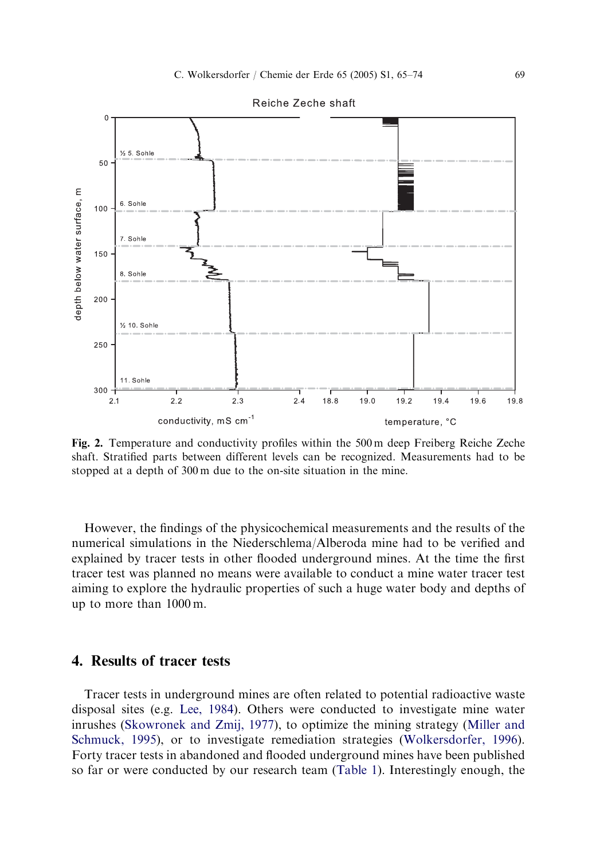

<span id="page-4-0"></span>

Fig. 2. Temperature and conductivity profiles within the 500 m deep Freiberg Reiche Zeche shaft. Stratified parts between different levels can be recognized. Measurements had to be stopped at a depth of 300 m due to the on-site situation in the mine.

Howev[er,](#page-9-0) [the](#page-9-0) [findings](#page-9-0) [of](#page-9-0) [the](#page-9-0) [physic](#page-9-0)ochemical measurements and the re[sults](#page-9-0) [of](#page-9-0) [the](#page-9-0) [numerical](#page-9-0) [simul](#page-9-0)ations in the Niederschlema/Alberoda mine [had](#page-9-0) [to](#page-9-0) [be](#page-9-0) [verified](#page-9-0) [an](#page-9-0)d explained by tracer tests in other flooded underground mines. At the time the first tracer test was planned no means were available [to](#page-6-0) [condu](#page-6-0)ct a mine water tracer test aiming to explore the hydraulic properties of such a huge water body and depths of up to more than 1000 m.

## 4. Results of tracer tests

Tracer tests in underground mines are often related to potential radioactive waste disposal sites (e.g. Lee, 1984). Others were conducted to investigate mine water inrushes (Skowronek and Zmij, 1977), to optimize the mining strategy (Miller and Schmuck, 1995), or to investigate remediation strategies (Wolkersdorfer, 1996). Forty tracer tests in abandoned and flooded underground mines have been published so far or were conducted by our research team (Table 1). Interestingly enough, the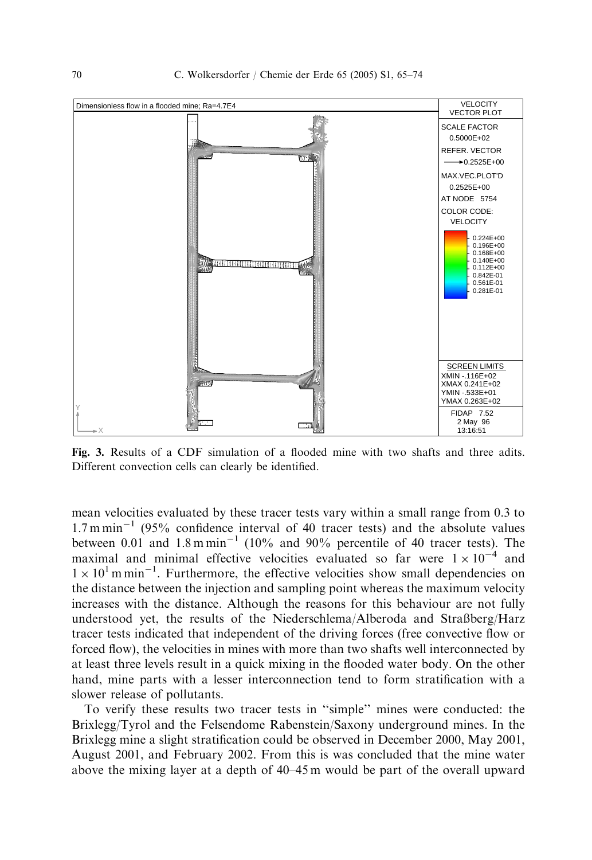<span id="page-5-0"></span>

Fig. 3. Results of a CDF simulation of a flooded mine with two shafts and three adits. Different convection cells can clearly be identified.

mean velocities evaluated by these tracer tests vary within a small range from 0.3 to  $1.7 \text{ m min}^{-1}$  (95% confidence interval of 40 tracer tests) and the absolute values between 0.01 and  $1.8 \text{ m min}^{-1}$  (10% and 90% percentile of 40 tracer tests). The maximal and minimal effective velocities evaluated so far were  $1 \times 10^{-4}$  and  $1 \times 10^{1}$  m min<sup>-1</sup>. Furthermore, the effective velocities show small dependencies on the distance between the injection and sampling point whereas the maximum velocity increases with the distance. Although the reasons for this behaviour are not fully understood yet, the results of the Niederschlema/Alberoda and Straßberg/Harz tracer tests indicated that independent of the driving forces (free convective flow or forced flow), the velocities in mines with more than two shafts well interconnected by at least three levels result in a quick mixing in the flooded water body. On the other hand, mine parts with a lesser interconnection tend to form stratification with a slower release of pollutants.

To verify these results two tracer tests in ''simple'' mines were conducted: the Brixlegg/Tyrol and the Felsendome Rabenstein/Saxony underground mines. In the Brixlegg mine a slight stratification could be observed in December 2000, May 2001, August 2001, and February 2002. From this is was concluded that the mine water above the mixing layer at a depth of 40–45 m would be part of the overall upward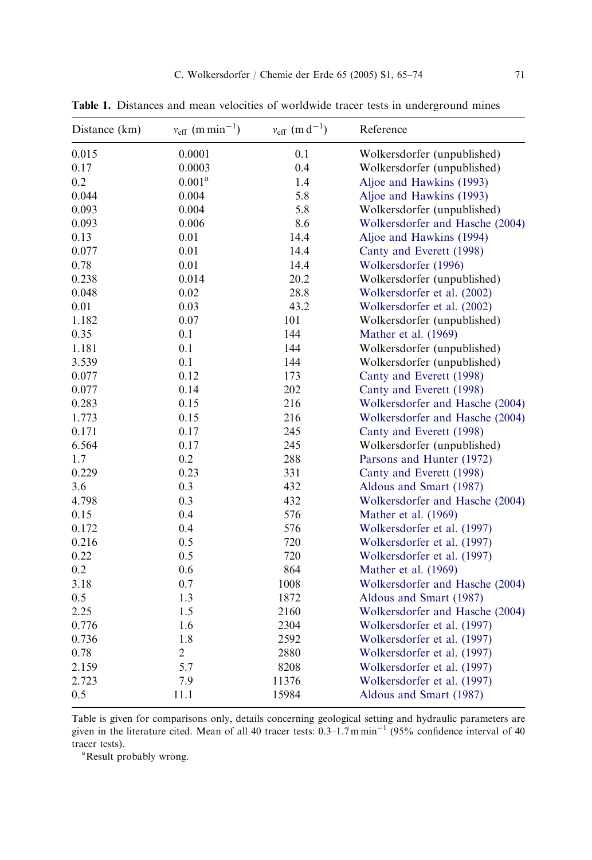C. Wolkersdorfer / Chemie der Erde 65 (2005) S1, 65–74 71

<span id="page-6-0"></span>Table 1. Distances and mean velocities of worldwide trace[r tests in underground mine](#page-9-0)s

| Distance (km) | $v_{\text{eff}}$ (m min <sup>-1</sup> ) | $v_{\rm eff}$ (m d <sup>-1</sup> ) | Reference                       |
|---------------|-----------------------------------------|------------------------------------|---------------------------------|
| 0.015         | 0.0001                                  | 0.1                                | Wolkersdorfer (unpublished)     |
| 0.17          | 0.0003                                  | 0.4                                | Wolkersdorfer (unpublished)     |
| 0.2           | $0.001^{\rm a}$                         | 1.4                                | Aljoe and Hawkins (1993)        |
| 0.044         | 0.004                                   | 5.8                                | Aljoe and Hawkins (1993)        |
| 0.093         | 0.004                                   | 5.8                                | Wolkersdorfer (unpublished)     |
| 0.093         | 0.006                                   | 8.6                                | Wolkersdorfer and Hasche (2004) |
| 0.13          | 0.01                                    | 14.4                               | Aljoe and Hawkins (1994)        |
| 0.077         | 0.01                                    | 14.4                               | Canty and Everett (1998)        |
| 0.78          | 0.01                                    | 14.4                               | Wolkersdorfer (1996)            |
| 0.238         | 0.014                                   | 20.2                               | Wolkersdorfer (unpublished)     |
| 0.048         | 0.02                                    | 28.8                               | Wolkersdorfer et al. (2002)     |
| 0.01          | 0.03                                    | 43.2                               | Wolkersdorfer et al. (2002)     |
| 1.182         | 0.07                                    | 101                                | Wolkersdorfer (unpublished)     |
| 0.35          | 0.1                                     | 144                                | Mather et al. (1969)            |
| 1.181         | 0.1                                     | 144                                | Wolkersdorfer (unpublished)     |
| 3.539         | 0.1                                     | 144                                | Wolkersdorfer (unpublished)     |
| 0.077         | 0.12                                    | 173                                | Canty and Everett (1998)        |
| 0.077         | 0.14                                    | 202                                | Canty and Everett (1998)        |
| 0.283         | 0.15                                    | 216                                | Wolkersdorfer and Hasche (2004) |
| 1.773         | 0.15                                    | 216                                | Wolkersdorfer and Hasche (2004) |
| 0.171         | 0.17                                    | 245                                | Canty and Everett (1998)        |
| 6.564         | 0.17                                    | 245                                | Wolkersdorfer (unpublished)     |
| 1.7           | 0.2                                     | 288                                | Parsons and Hunter (1972)       |
| 0.229         | 0.23                                    | 331                                | Canty and Everett (1998)        |
| 3.6           | 0.3                                     | 432                                | Aldous and Smart (1987)         |
| 4.798         | 0.3                                     | 432                                | Wolkersdorfer and Hasche (2004) |
| 0.15          | 0.4                                     | 576                                | Mather et al. (1969)            |
| 0.172         | 0.4                                     | 576                                | Wolkersdorfer et al. (1997)     |
| 0.216         | 0.5                                     | 720                                | Wolkersdorfer et al. (1997)     |
| 0.22          | 0.5                                     | 720                                | Wolkersdorfer et al. (1997)     |
| 0.2           | 0.6                                     | 864                                | Mather et al. (1969)            |
| 3.18          | 0.7                                     | 1008                               | Wolkersdorfer and Hasche (2004) |
| 0.5           | 1.3                                     | 1872                               | Aldous and Smart (1987)         |
| 2.25          | 1.5                                     | 2160                               | Wolkersdorfer and Hasche (2004) |
| 0.776         | 1.6                                     | 2304                               | Wolkersdorfer et al. (1997)     |
| 0.736         | 1.8                                     | 2592                               | Wolkersdorfer et al. (1997)     |
| 0.78          | $\overline{c}$                          | 2880                               | Wolkersdorfer et al. (1997)     |
| 2.159         | 5.7                                     | 8208                               | Wolkersdorfer et al. (1997)     |
| 2.723         | 7.9                                     | 11376                              | Wolkersdorfer et al. (1997)     |
| 0.5           | 11.1                                    | 15984                              | Aldous and Smart (1987)         |

Table is given for comparisons only, details concerning geological setting and hydraulic parameters are given in the literature cited. Mean of all 40 tracer tests: 0.3–1.7 m min<sup>-1</sup> (95% confidence interval of 40 tracer tests).

Result probably wrong.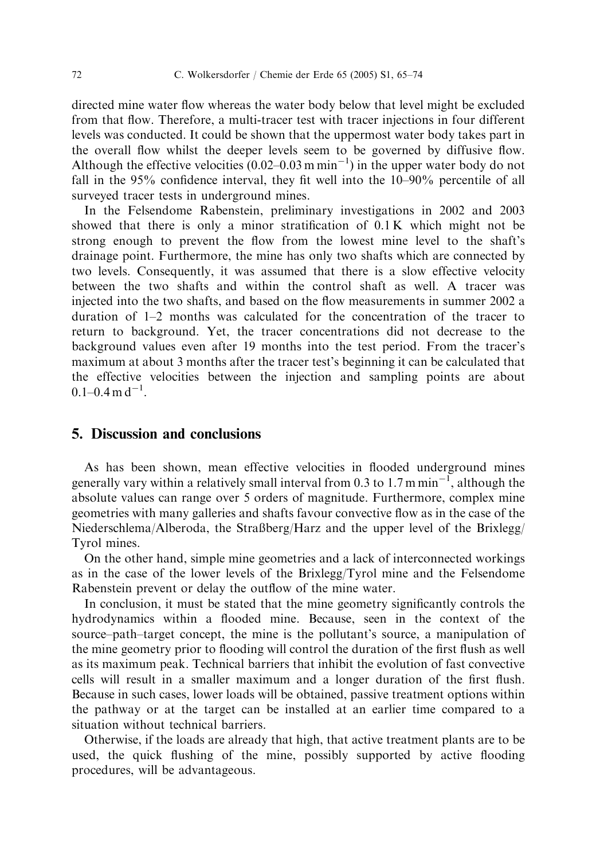directed mine water flow whereas the water body below that level might be excluded from that flow. Therefore, a multi-tracer test with tracer injections in four different levels was conducted. It could be shown that the uppermost water body takes part in the overall flow whilst the deeper levels seem to be governed by diffusive flow. Although the effective velocities  $(0.02-0.03 \text{ m min}^{-1})$  in the upper water body do not fall in the 95% confidence interval, they fit well into the 10–90% percentile of all surveyed tracer tests in underground mines.

In the Felsendome Rabenstein, preliminary investigations in 2002 and 2003 showed that there is only a minor stratification of 0.1 K which might not be strong enough to prevent the flow from the lowest mine level to the shaft's drainage point. Furthermore, the mine has only two shafts which are connected by two levels. Consequently, it was assumed that there is a slow effective velocity between the two shafts and within the control shaft as well. A tracer was injected into the two shafts, and based on the flow measurements in summer 2002 a duration of 1–2 months was calculated for the concentration of the tracer to return to background. Yet, the tracer concentrations did not decrease to the background values even after 19 months into the test period. From the tracer's maximum at about 3 months after the tracer test's beginning it can be calculated that the effective velocities between the injection and sampling points are about  $0.1 - 0.4$  m d<sup>-1</sup>.

## 5. Discussion and conclusions

As has been shown, mean effective velocities in flooded underground mines generally vary within a relatively small interval from 0.3 to 1.7 m min<sup> $-I$ </sup>, although the absolute values can range over 5 orders of magnitude. Furthermore, complex mine geometries with many galleries and shafts favour convective flow as in the case of the Niederschlema/Alberoda, the Straßberg/Harz and the upper level of the Brixlegg/ Tyrol mines.

On the other hand, simple mine geometries and a lack of interconnected workings as in the case of the lower levels of the Brixlegg/Tyrol mine and the Felsendome Rabenstein prevent or delay the outflow of the mine water.

In conclusion, it must be stated that the mine geometry significantly controls the hydrodynamics within a flooded mine. Because, seen in the context of the source–path–target concept, the mine is the pollutant's source, a manipulation of the mine geometry prior to flooding will control the duration of the first flush as well as its maximum peak. Technical barriers that inhibit the evolution of fast convective cells will result in a smaller maximum and a longer duration of the first flush. Because in such cases, lower loads will be obtained, passive treatment options within the pathway or at the target can be installed at an earlier time compared to a situation without technical barriers.

Otherwise, if the loads are already that high, that active treatment plants are to be used, the quick flushing of the mine, possibly supported by active flooding procedures, will be advantageous.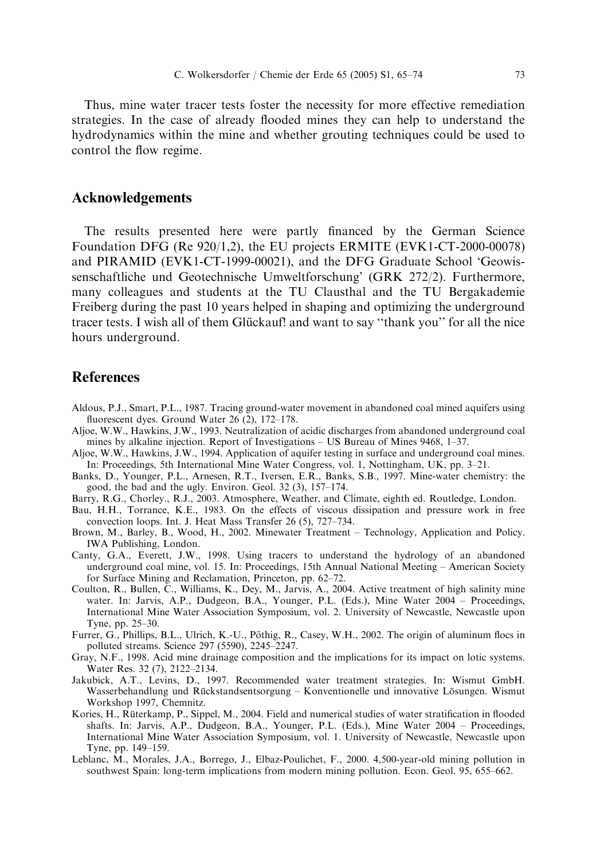<span id="page-8-0"></span>Thus, mine water tracer tests foster the necessity for more effective remediation strategies. In the case of already flooded mines they can help to understand the hydrodynamics within the mine and whether grouting techniques could be used to control the flow regime.

#### Acknowledgements

The results presented here were partly financed by the German Science Foundation DFG (Re 920/1,2), the EU projects ERMITE (EVK1-CT-2000-00078) and PIRAMID (EVK1-CT-1999-00021), and the DFG Graduate School 'Geowissenschaftliche und Geotechnische Umweltforschung' (GRK 272/2). Furthermore, many colleagues and students at the TU Clausthal and the TU Bergakademie Freiberg during the past 10 years helped in shaping and optimizing the underground tracer tests. I wish all of them Glückauf! and want to say "thank you" for all the nice hours underground.

## **References**

- Aldous, P.J., Smart, P.L., 1987. Tracing ground-water movement in abandoned coal mined aquifers using fluorescent dyes. Ground Water 26 (2), 172–178.
- Aljoe, W.W., Hawkins, J.W., 1993. Neutralization of acidic discharges from abandoned underground coal mines by alkaline injection. Report of Investigations – US Bureau of Mines 9468, 1–37.
- Aljoe, W.W., Hawkins, J.W., 1994. Application of aquifer testing in surface and underground coal mines. In: Proceedings, 5th International Mine Water Congress, vol. 1, Nottingham, UK, pp. 3–21.
- Banks, D., Younger, P.L., Arnesen, R.T., Iversen, E.R., Banks, S.B., 1997. Mine-water chemistry: the good, the bad and the ugly. Environ. Geol. 32 (3), 157–174.
- Barry, R.G., Chorley., R.J., 2003. Atmosphere, Weather, and Climate, eighth ed. Routledge, London.
- Bau, H.H., Torrance, K.E., 1983. On the effects of viscous dissipation and pressure work in free convection loops. Int. J. Heat Mass Transfer 26 (5), 727–734.
- Brown, M., Barley, B., Wood, H., 2002. Minewater Treatment Technology, Application and Policy. IWA Publishing, London.
- Canty, G.A., Everett, J.W., 1998. Using tracers to understand the hydrology of an abandoned underground coal mine, vol. 15. In: Proceedings, 15th Annual National Meeting – American Society for Surface Mining and Reclamation, Princeton, pp. 62–72.
- Coulton, R., Bullen, C., Williams, K., Dey, M., Jarvis, A., 2004. Active treatment of high salinity mine water. In: Jarvis, A.P., Dudgeon, B.A., Younger, P.L. (Eds.), Mine Water 2004 – Proceedings, International Mine Water Association Symposium, vol. 2. University of Newcastle, Newcastle upon Tyne, pp. 25–30.
- Furrer, G., Phillips, B.L., Ulrich, K.-U., Pöthig, R., Casey, W.H., 2002. The origin of aluminum flocs in polluted streams. Science 297 (5590), 2245–2247.
- Gray, N.F., 1998. Acid mine drainage composition and the implications for its impact on lotic systems. Water Res. 32 (7), 2122–2134.
- Jakubick, A.T., Levins, D., 1997. Recommended water treatment strategies. In: Wismut GmbH. Wasserbehandlung und Rückstandsentsorgung – Konventionelle und innovative Lösungen. Wismut Workshop 1997, Chemnitz.
- Kories, H., Rüterkamp, P., Sippel, M., 2004. Field and numerical studies of water stratification in flooded shafts. In: Jarvis, A.P., Dudgeon, B.A., Younger, P.L. (Eds.), Mine Water 2004 – Proceedings, International Mine Water Association Symposium, vol. 1. University of Newcastle, Newcastle upon Tyne, pp. 149–159.
- Leblanc, M., Morales, J.A., Borrego, J., Elbaz-Poulichet, F., 2000. 4,500-year-old mining pollution in southwest Spain: long-term implications from modern mining pollution. Econ. Geol. 95, 655–662.